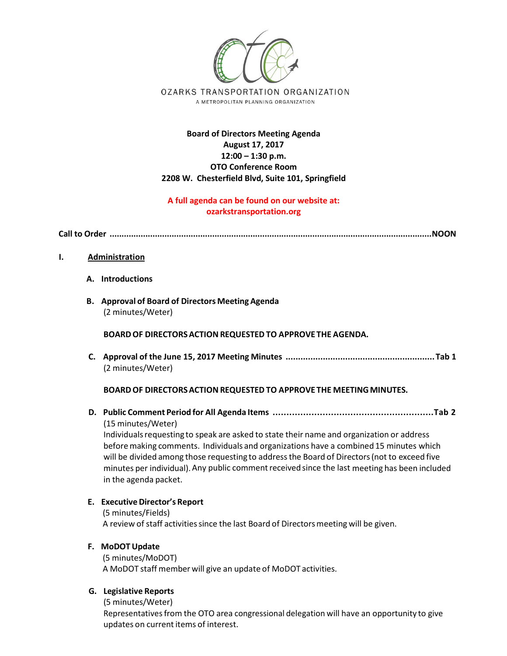

# **Board of Directors Meeting Agenda August 17, 2017 12:00 – 1:30 p.m. OTO Conference Room 2208 W. Chesterfield Blvd, Suite 101, Springfield**

# **A full agenda can be found on our website at: ozarkstransportation.org**

**Call to Order .......................................................................................................................................NOON** 

### **I. Administration**

- **A. Introductions**
- **B. Approval of Board of Directors Meeting Agenda** (2 minutes/Weter)

### **BOARDOF DIRECTORSACTION REQUESTED TO APPROVE THE AGENDA.**

**C. Approval of the June 15, 2017 Meeting Minutes ............................................................Tab 1** (2 minutes/Weter)

### **BOARDOF DIRECTORSACTION REQUESTED TO APPROVE THE MEETING MINUTES.**

**D. Public Comment Period for All Agenda Items ..........................................................Tab 2** (15 minutes/Weter)

Individualsrequesting to speak are asked to state their name and organization or address before making comments. Individuals and organizations have a combined 15 minutes which will be divided among those requesting to addressthe Board of Directors(not to exceed five minutes per individual). Any public comment received since the last meeting has been included in the agenda packet.

### **E. ExecutiveDirector's Report**

(5 minutes/Fields) A review of staff activities since the last Board of Directors meeting will be given.

### **F. MoDOT Update**

(5 minutes/MoDOT) A MoDOT staff member will give an update of MoDOT activities.

### **G. Legislative Reports**

(5 minutes/Weter) Representativesfrom the OTO area congressional delegation will have an opportunity to give updates on current items of interest.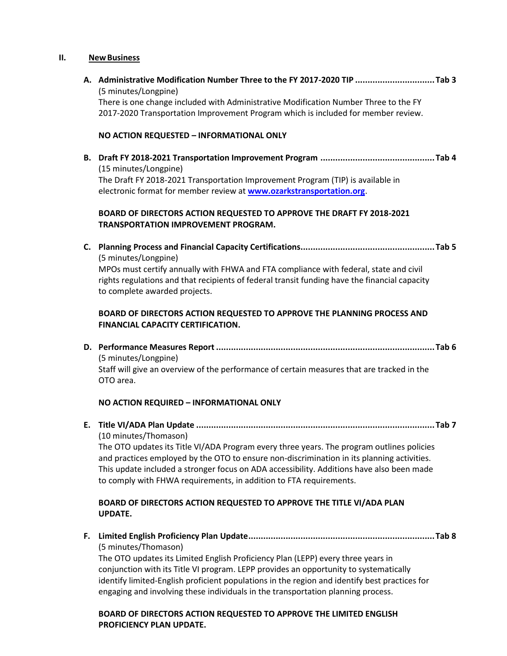#### **II. NewBusiness**

**A. Administrative Modification Number Three to the FY 2017-2020 TIP ................................Tab 3** (5 minutes/Longpine) There is one change included with Administrative Modification Number Three to the FY

2017-2020 Transportation Improvement Program which is included for member review.

#### **NO ACTION REQUESTED – INFORMATIONAL ONLY**

**B. Draft FY 2018-2021 Transportation Improvement Program ..............................................Tab 4** (15 minutes/Longpine) The Draft FY 2018-2021 Transportation Improvement Program (TIP) is available in electronic format for member review at **[www.ozarkstransportation.org](http://www.ozarkstransportation.org/)**.

### **BOARD OF DIRECTORS ACTION REQUESTED TO APPROVE THE DRAFT FY 2018-2021 TRANSPORTATION IMPROVEMENT PROGRAM.**

**C. Planning Process and Financial Capacity Certifications......................................................Tab 5** (5 minutes/Longpine) MPOs must certify annually with FHWA and FTA compliance with federal, state and civil rights regulations and that recipients of federal transit funding have the financial capacity to complete awarded projects.

## **BOARD OF DIRECTORS ACTION REQUESTED TO APPROVE THE PLANNING PROCESS AND FINANCIAL CAPACITY CERTIFICATION.**

**D. Performance Measures Report ........................................................................................Tab 6** (5 minutes/Longpine) Staff will give an overview of the performance of certain measures that are tracked in the OTO area.

### **NO ACTION REQUIRED – INFORMATIONAL ONLY**

**E. Title VI/ADA Plan Update ................................................................................................Tab 7** (10 minutes/Thomason)

The OTO updates its Title VI/ADA Program every three years. The program outlines policies and practices employed by the OTO to ensure non-discrimination in its planning activities. This update included a stronger focus on ADA accessibility. Additions have also been made to comply with FHWA requirements, in addition to FTA requirements.

## **BOARD OF DIRECTORS ACTION REQUESTED TO APPROVE THE TITLE VI/ADA PLAN UPDATE.**

**F. Limited English Proficiency Plan Update...........................................................................Tab 8** (5 minutes/Thomason)

The OTO updates its Limited English Proficiency Plan (LEPP) every three years in conjunction with its Title VI program. LEPP provides an opportunity to systematically identify limited-English proficient populations in the region and identify best practices for engaging and involving these individuals in the transportation planning process.

## **BOARD OF DIRECTORS ACTION REQUESTED TO APPROVE THE LIMITED ENGLISH PROFICIENCY PLAN UPDATE.**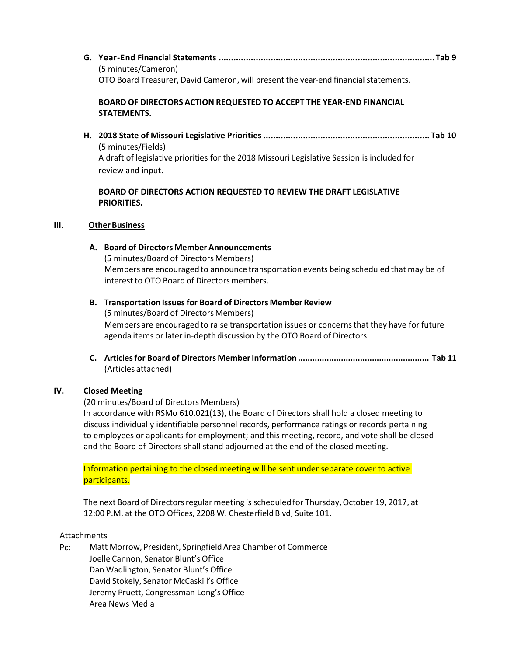**G. Year-End Financial Statements .......................................................................................Tab 9** (5 minutes/Cameron) OTO Board Treasurer, David Cameron, will present the year-end financialstatements.

# **BOARD OF DIRECTORS ACTION REQUESTED TO ACCEPT THE YEAR-END FINANCIAL STATEMENTS.**

**H. 2018 State of Missouri Legislative Priorities................................................................... Tab 10**  (5 minutes/Fields) A draft of legislative priorities for the 2018 Missouri Legislative Session is included for review and input.

# **BOARD OF DIRECTORS ACTION REQUESTED TO REVIEW THE DRAFT LEGISLATIVE PRIORITIES.**

## **III.** Other Business

### **A. Board of Directors Member Announcements**

(5 minutes/Board of Directors Members) Members are encouraged to announce transportation events being scheduled that may be of interest to OTO Board of Directors members.

## **B. Transportation Issuesfor Board of Directors Member Review**

(5 minutes/Board of Directors Members) Members are encouraged to raise transportation issues or concernsthat they have for future agenda items or later in‐depth discussion by the OTO Board of Directors.

**C. Articlesfor Board of Directors MemberInformation ....................................................... Tab 11** (Articles attached)

# **IV. Closed Meeting**

(20 minutes/Board of Directors Members)

In accordance with RSMo 610.021(13), the Board of Directors shall hold a closed meeting to discuss individually identifiable personnel records, performance ratings or records pertaining to employees or applicants for employment; and this meeting, record, and vote shall be closed and the Board of Directors shall stand adjourned at the end of the closed meeting.

Information pertaining to the closed meeting will be sent under separate cover to active participants.

The next Board of Directors regular meeting is scheduled for Thursday, October 19, 2017, at 12:00 P.M. at the OTO Offices, 2208 W. Chesterfield Blvd, Suite 101.

# Attachments

Pc: Matt Morrow, President, Springfield Area Chamber of Commerce Joelle Cannon, Senator Blunt's Office Dan Wadlington, Senator Blunt's Office David Stokely, Senator McCaskill's Office Jeremy Pruett, Congressman Long's Office Area News Media